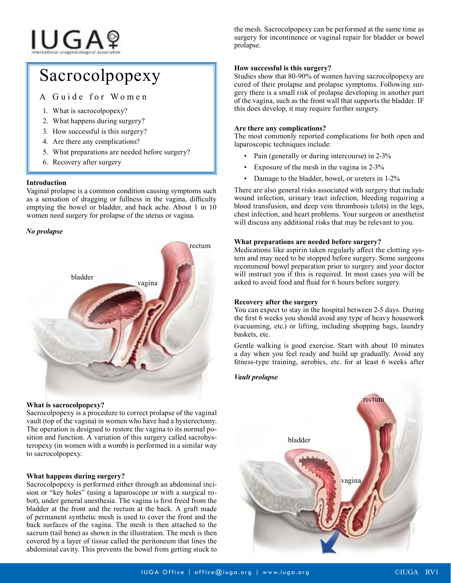# **IUGA**?

# Sacrocolpopexy

A Guide for Women

- 1. What is sacrocolpopexy?
- 2. What happens during surgery?
- 3. How successful is this surgery?
- 4. Are there any complications?
- 5. What preparations are needed before surgery?
- 6. Recovery after surgery

## **Introduction**

Vaginal prolapse is a common condition causing symptoms such as a sensation of dragging or fullness in the vagina, difficulty emptying the bowel or bladder, and back ache. About 1 in 10 women need surgery for prolapse of the uterus or vagina.

## *No prolapse*



#### **What is sacrocolpopexy?**

Sacrocolpopexy is a procedure to correct prolapse of the vaginal vault (top of the vagina) in women who have had a hysterectomy. The operation is designed to restore the vagina to its normal position and function. A variation of this surgery called sacrohysteropexy (in women with a womb) is performed in a similar way to sacrocolpopexy.

# **What happens during surgery?**

Sacrocolpopexy is performed either through an abdominal incision or "key holes" (using a laparoscope or with a surgical robot), under general anesthesia. The vagina is first freed from the bladder at the front and the rectum at the back. A graft made of permanent synthetic mesh is used to cover the front and the back surfaces of the vagina. The mesh is then attached to the sacrum (tail bone) as shown in the illustration. The mesh is then covered by a layer of tissue called the peritoneum that lines the abdominal cavity. This prevents the bowel from getting stuck to

the mesh. Sacrocolpopexy can be performed at the same time as surgery for incontinence or vaginal repair for bladder or bowel prolapse.

## **How successful is this surgery?**

Studies show that 80-90% of women having sacrocolpopexy are cured of their prolapse and prolapse symptoms. Following surgery there is a small risk of prolapse developing in another part of the vagina, such as the front wall that supports the bladder. IF this does develop, it may require further surgery.

#### **Are there any complications?**

The most commonly reported complications for both open and laparoscopic techniques include:

- Pain (generally or during intercourse) in 2-3%
- Exposure of the mesh in the vagina in 2-3%
- Damage to the bladder, bowel, or ureters in 1-2%

There are also general risks associated with surgery that include wound infection, urinary tract infection, bleeding requiring a blood transfusion, and deep vein thrombosis (clots) in the legs, chest infection, and heart problems. Your surgeon or anesthetist will discuss any additional risks that may be relevant to you.

#### **What preparations are needed before surgery?**

Medications like aspirin taken regularly affect the clotting system and may need to be stopped before surgery. Some surgeons recommend bowel preparation prior to surgery and your doctor will instruct you if this is required. In most cases you will be asked to avoid food and fluid for 6 hours before surgery.

#### **Recovery after the surgery**

You can expect to stay in the hospital between 2-5 days. During the first 6 weeks you should avoid any type of heavy housework (vacuuming, etc.) or lifting, including shopping bags, laundry baskets, etc.

Gentle walking is good exercise. Start with about 10 minutes a day when you feel ready and build up gradually. Avoid any fitness-type training, aerobics, etc. for at least 6 weeks after

# *Vault prolapse*